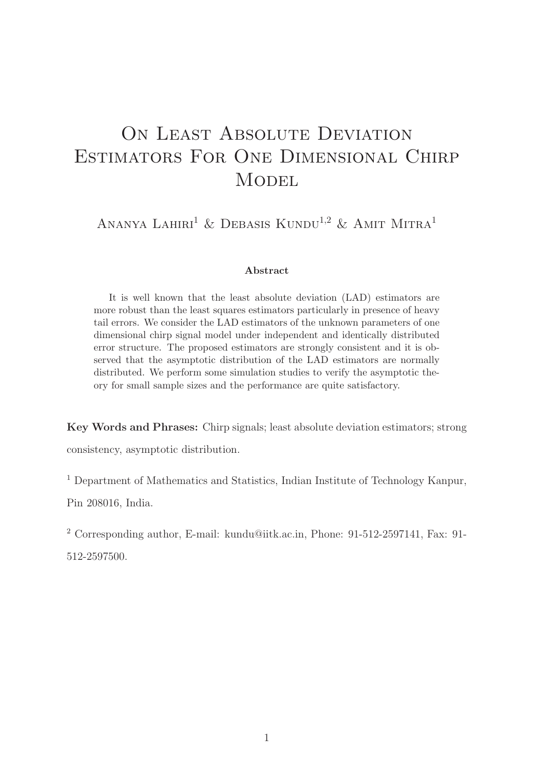# ON LEAST ABSOLUTE DEVIATION Estimators For One Dimensional Chirp **MODEL**

ANANYA LAHIRI<sup>1</sup> & DEBASIS KUNDU<sup>1,2</sup> & AMIT MITRA<sup>1</sup>

#### Abstract

It is well known that the least absolute deviation (LAD) estimators are more robust than the least squares estimators particularly in presence of heavy tail errors. We consider the LAD estimators of the unknown parameters of one dimensional chirp signal model under independent and identically distributed error structure. The proposed estimators are strongly consistent and it is observed that the asymptotic distribution of the LAD estimators are normally distributed. We perform some simulation studies to verify the asymptotic theory for small sample sizes and the performance are quite satisfactory.

Key Words and Phrases: Chirp signals; least absolute deviation estimators; strong consistency, asymptotic distribution.

<sup>1</sup> Department of Mathematics and Statistics, Indian Institute of Technology Kanpur,

Pin 208016, India.

<sup>2</sup> Corresponding author, E-mail: kundu@iitk.ac.in, Phone: 91-512-2597141, Fax: 91-

512-2597500.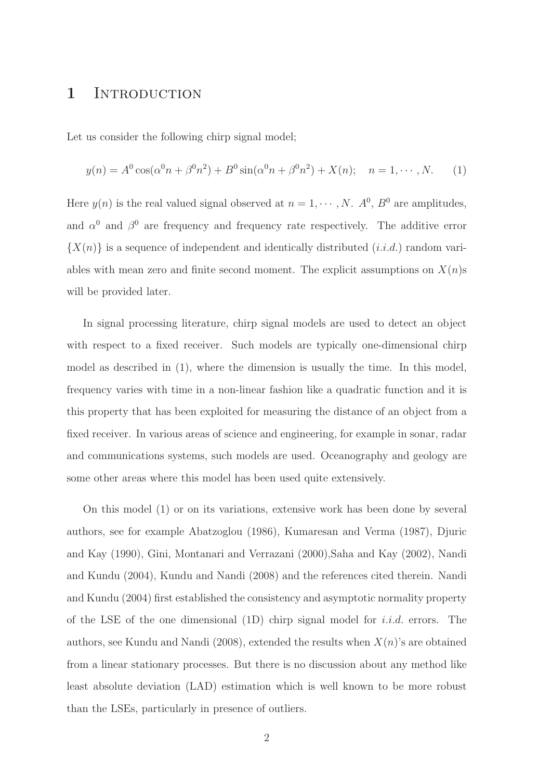### 1 INTRODUCTION

Let us consider the following chirp signal model;

$$
y(n) = A^{0} \cos(\alpha^{0} n + \beta^{0} n^{2}) + B^{0} \sin(\alpha^{0} n + \beta^{0} n^{2}) + X(n); \quad n = 1, \cdots, N.
$$
 (1)

Here  $y(n)$  is the real valued signal observed at  $n = 1, \dots, N$ .  $A^0$ ,  $B^0$  are amplitudes, and  $\alpha^0$  and  $\beta^0$  are frequency and frequency rate respectively. The additive error  $\{X(n)\}\$ is a sequence of independent and identically distributed (i.i.d.) random variables with mean zero and finite second moment. The explicit assumptions on  $X(n)$ s will be provided later.

In signal processing literature, chirp signal models are used to detect an object with respect to a fixed receiver. Such models are typically one-dimensional chirp model as described in (1), where the dimension is usually the time. In this model, frequency varies with time in a non-linear fashion like a quadratic function and it is this property that has been exploited for measuring the distance of an object from a fixed receiver. In various areas of science and engineering, for example in sonar, radar and communications systems, such models are used. Oceanography and geology are some other areas where this model has been used quite extensively.

On this model (1) or on its variations, extensive work has been done by several authors, see for example Abatzoglou (1986), Kumaresan and Verma (1987), Djuric and Kay (1990), Gini, Montanari and Verrazani (2000),Saha and Kay (2002), Nandi and Kundu (2004), Kundu and Nandi (2008) and the references cited therein. Nandi and Kundu (2004) first established the consistency and asymptotic normality property of the LSE of the one dimensional  $(1D)$  chirp signal model for *i.i.d.* errors. The authors, see Kundu and Nandi (2008), extended the results when  $X(n)$ 's are obtained from a linear stationary processes. But there is no discussion about any method like least absolute deviation (LAD) estimation which is well known to be more robust than the LSEs, particularly in presence of outliers.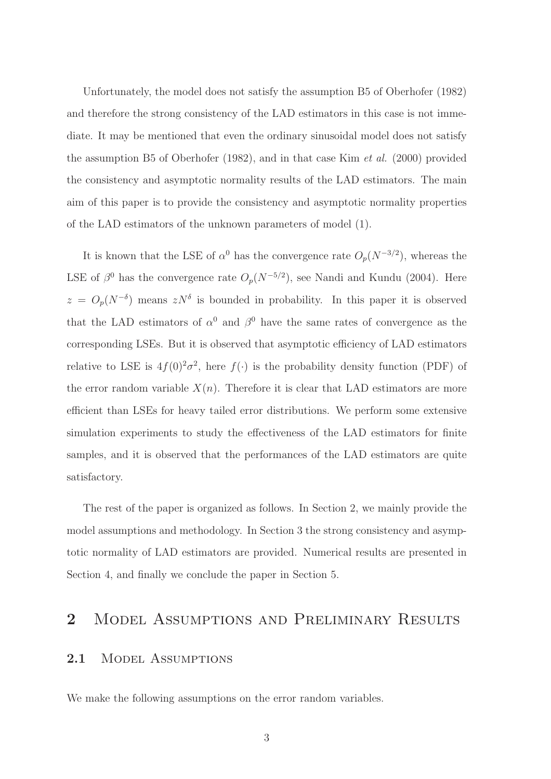Unfortunately, the model does not satisfy the assumption B5 of Oberhofer (1982) and therefore the strong consistency of the LAD estimators in this case is not immediate. It may be mentioned that even the ordinary sinusoidal model does not satisfy the assumption B5 of Oberhofer (1982), and in that case Kim et al. (2000) provided the consistency and asymptotic normality results of the LAD estimators. The main aim of this paper is to provide the consistency and asymptotic normality properties of the LAD estimators of the unknown parameters of model (1).

It is known that the LSE of  $\alpha^0$  has the convergence rate  $O_p(N^{-3/2})$ , whereas the LSE of  $\beta^0$  has the convergence rate  $O_p(N^{-5/2})$ , see Nandi and Kundu (2004). Here  $z = O_p(N^{-\delta})$  means  $zN^{\delta}$  is bounded in probability. In this paper it is observed that the LAD estimators of  $\alpha^0$  and  $\beta^0$  have the same rates of convergence as the corresponding LSEs. But it is observed that asymptotic efficiency of LAD estimators relative to LSE is  $4f(0)^2\sigma^2$ , here  $f(\cdot)$  is the probability density function (PDF) of the error random variable  $X(n)$ . Therefore it is clear that LAD estimators are more efficient than LSEs for heavy tailed error distributions. We perform some extensive simulation experiments to study the effectiveness of the LAD estimators for finite samples, and it is observed that the performances of the LAD estimators are quite satisfactory.

The rest of the paper is organized as follows. In Section 2, we mainly provide the model assumptions and methodology. In Section 3 the strong consistency and asymptotic normality of LAD estimators are provided. Numerical results are presented in Section 4, and finally we conclude the paper in Section 5.

## 2 MODEL ASSUMPTIONS AND PRELIMINARY RESULTS

#### 2.1 MODEL ASSUMPTIONS

We make the following assumptions on the error random variables.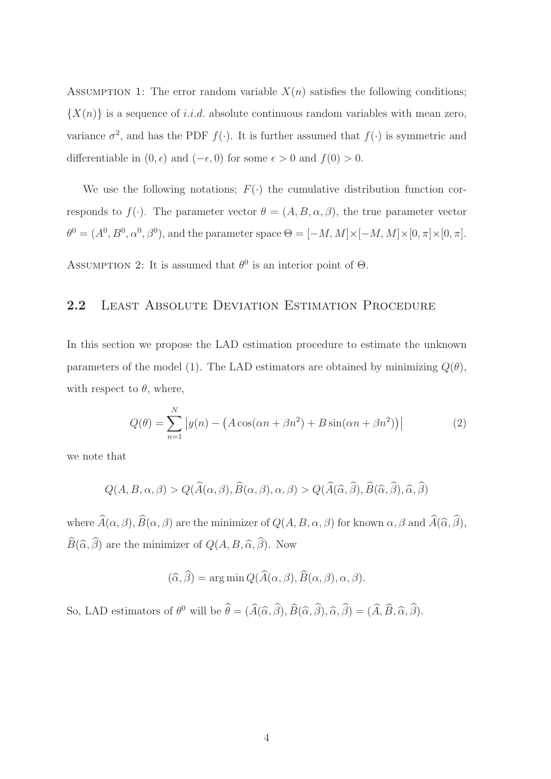ASSUMPTION 1: The error random variable  $X(n)$  satisfies the following conditions;  $\{X(n)\}\$ is a sequence of i.i.d. absolute continuous random variables with mean zero, variance  $\sigma^2$ , and has the PDF  $f(\cdot)$ . It is further assumed that  $f(\cdot)$  is symmetric and differentiable in  $(0, \epsilon)$  and  $(-\epsilon, 0)$  for some  $\epsilon > 0$  and  $f(0) > 0$ .

We use the following notations;  $F(\cdot)$  the cumulative distribution function corresponds to  $f(\cdot)$ . The parameter vector  $\theta = (A, B, \alpha, \beta)$ , the true parameter vector  $\theta^0 = (A^0, B^0, \alpha^0, \beta^0)$ , and the parameter space  $\Theta = [-M, M] \times [-M, M] \times [0, \pi] \times [0, \pi]$ .

ASSUMPTION 2: It is assumed that  $\theta^0$  is an interior point of  $\Theta$ .

#### 2.2 LEAST ABSOLUTE DEVIATION ESTIMATION PROCEDURE

In this section we propose the LAD estimation procedure to estimate the unknown parameters of the model (1). The LAD estimators are obtained by minimizing  $Q(\theta)$ , with respect to  $\theta$ , where,

$$
Q(\theta) = \sum_{n=1}^{N} |y(n) - (A\cos(\alpha n + \beta n^2) + B\sin(\alpha n + \beta n^2))|
$$
 (2)

we note that

$$
Q(A, B, \alpha, \beta) > Q(\widehat{A}(\alpha, \beta), \widehat{B}(\alpha, \beta), \alpha, \beta) > Q(\widehat{A}(\widehat{\alpha}, \widehat{\beta}), \widehat{B}(\widehat{\alpha}, \widehat{\beta}), \widehat{\alpha}, \widehat{\beta})
$$

where  $\widehat{A}(\alpha,\beta), \widehat{B}(\alpha,\beta)$  are the minimizer of  $Q(A, B, \alpha, \beta)$  for known  $\alpha, \beta$  and  $\widehat{A}(\widehat{\alpha}, \widehat{\beta}),$  $\widehat{B}(\widehat{\alpha}, \widehat{\beta})$  are the minimizer of  $Q(A, B, \widehat{\alpha}, \widehat{\beta})$ . Now

$$
(\widehat{\alpha}, \widehat{\beta}) = \arg\min Q(\widehat{A}(\alpha, \beta), \widehat{B}(\alpha, \beta), \alpha, \beta).
$$

So, LAD estimators of  $\theta^0$  will be  $\hat{\theta} = (\hat{A}(\hat{\alpha}, \hat{\beta}), \hat{B}(\hat{\alpha}, \hat{\beta}), \hat{\alpha}, \hat{\beta}) = (\hat{A}, \hat{B}, \hat{\alpha}, \hat{\beta}).$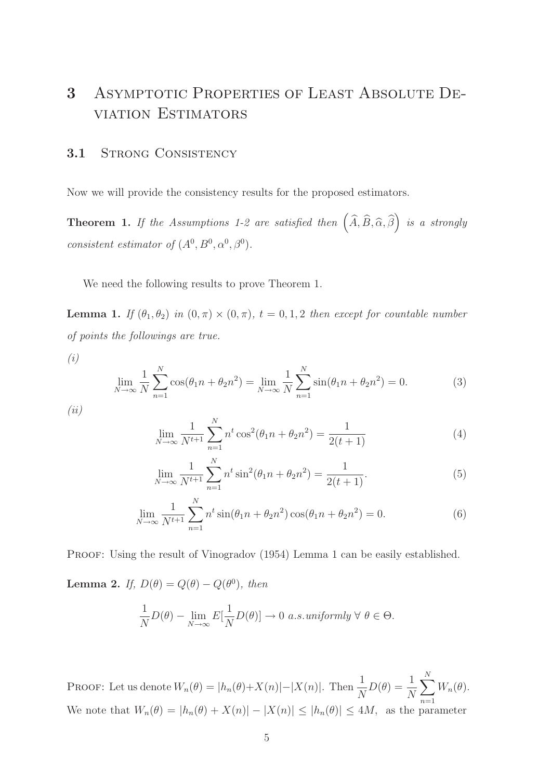## 3 Asymptotic Properties of Least Absolute Deviation Estimators

#### 3.1 STRONG CONSISTENCY

Now we will provide the consistency results for the proposed estimators.

**Theorem 1.** If the Assumptions 1-2 are satisfied then  $(\widehat{A}, \widehat{B}, \widehat{\alpha}, \widehat{\beta})$  is a strongly consistent estimator of  $(A^0, B^0, \alpha^0, \beta^0)$ .

We need the following results to prove Theorem 1.

**Lemma 1.** If  $(\theta_1, \theta_2)$  in  $(0, \pi) \times (0, \pi)$ ,  $t = 0, 1, 2$  then except for countable number of points the followings are true.

(i)

$$
\lim_{N \to \infty} \frac{1}{N} \sum_{n=1}^{N} \cos(\theta_1 n + \theta_2 n^2) = \lim_{N \to \infty} \frac{1}{N} \sum_{n=1}^{N} \sin(\theta_1 n + \theta_2 n^2) = 0.
$$
 (3)

 $(ii)$ 

$$
\lim_{N \to \infty} \frac{1}{N^{t+1}} \sum_{n=1}^{N} n^t \cos^2(\theta_1 n + \theta_2 n^2) = \frac{1}{2(t+1)}
$$
(4)

$$
\lim_{N \to \infty} \frac{1}{N^{t+1}} \sum_{n=1}^{N} n^t \sin^2(\theta_1 n + \theta_2 n^2) = \frac{1}{2(t+1)}.
$$
\n(5)

$$
\lim_{N \to \infty} \frac{1}{N^{t+1}} \sum_{n=1}^{N} n^t \sin(\theta_1 n + \theta_2 n^2) \cos(\theta_1 n + \theta_2 n^2) = 0.
$$
 (6)

PROOF: Using the result of Vinogradov (1954) Lemma 1 can be easily established.

**Lemma 2.** If,  $D(\theta) = Q(\theta) - Q(\theta^0)$ , then

$$
\frac{1}{N}D(\theta) - \lim_{N \to \infty} E[\frac{1}{N}D(\theta)] \to 0 \text{ a.s.} uniformly \forall \theta \in \Theta.
$$

PROOF: Let us denote  $W_n(\theta) = |h_n(\theta) + X(n)| - |X(n)|$ . Then  $\frac{1}{N}$  $D(\theta) = \frac{1}{\Delta t}$ N  $\sum_{i=1}^{N}$  $n=1$  $W_n(\theta)$ . We note that  $W_n(\theta) = |h_n(\theta) + X(n)| - |X(n)| \le |h_n(\theta)| \le 4M$ , as the parameter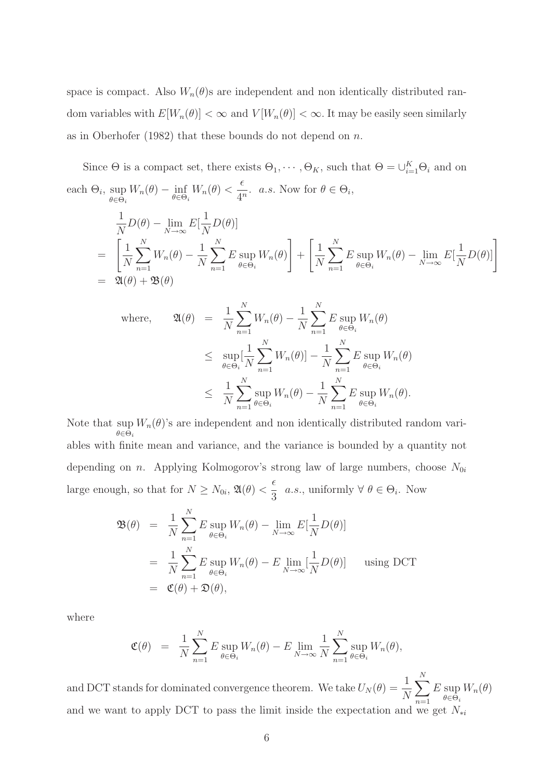space is compact. Also  $W_n(\theta)$ s are independent and non identically distributed random variables with  $E[W_n(\theta)] < \infty$  and  $V[W_n(\theta)] < \infty$ . It may be easily seen similarly as in Oberhofer (1982) that these bounds do not depend on  $n$ .

Since  $\Theta$  is a compact set, there exists  $\Theta_1, \cdots, \Theta_K$ , such that  $\Theta = \bigcup_{i=1}^K \Theta_i$  and on each  $\Theta_i$ , sup  $\sup_{\theta \in \Theta_i} W_n(\theta) - \inf_{\theta \in \Theta_i}$  $W_n(\theta)$  <  $\epsilon$  $\frac{1}{4^n}$ . *a.s.* Now for  $\theta \in \Theta_i$ ,

$$
\frac{1}{N}D(\theta) - \lim_{N \to \infty} E[\frac{1}{N}D(\theta)]
$$
\n
$$
= \left[ \frac{1}{N} \sum_{n=1}^{N} W_n(\theta) - \frac{1}{N} \sum_{n=1}^{N} E \sup_{\theta \in \Theta_i} W_n(\theta) \right] + \left[ \frac{1}{N} \sum_{n=1}^{N} E \sup_{\theta \in \Theta_i} W_n(\theta) - \lim_{N \to \infty} E[\frac{1}{N}D(\theta)] \right]
$$
\n
$$
= \mathfrak{A}(\theta) + \mathfrak{B}(\theta)
$$

where, 
$$
\mathfrak{A}(\theta) = \frac{1}{N} \sum_{n=1}^{N} W_n(\theta) - \frac{1}{N} \sum_{n=1}^{N} E \sup_{\theta \in \Theta_i} W_n(\theta)
$$
  

$$
\leq \sup_{\theta \in \Theta_i} [\frac{1}{N} \sum_{n=1}^{N} W_n(\theta)] - \frac{1}{N} \sum_{n=1}^{N} E \sup_{\theta \in \Theta_i} W_n(\theta)
$$
  

$$
\leq \frac{1}{N} \sum_{n=1}^{N} \sup_{\theta \in \Theta_i} W_n(\theta) - \frac{1}{N} \sum_{n=1}^{N} E \sup_{\theta \in \Theta_i} W_n(\theta).
$$

Note that sup  $W_n(\theta)$ 's are independent and non identically distributed random vari- $\theta \in \dot{\Theta}_i$ ables with finite mean and variance, and the variance is bounded by a quantity not depending on *n*. Applying Kolmogorov's strong law of large numbers, choose  $N_{0i}$ large enough, so that for  $N \ge N_{0i}$ ,  $\mathfrak{A}(\theta) < \frac{\epsilon}{3}$  $\frac{1}{3}$  *a.s.*, uniformly  $\forall \theta \in \Theta_i$ . Now

$$
\mathfrak{B}(\theta) = \frac{1}{N} \sum_{n=1}^{N} E \sup_{\theta \in \Theta_i} W_n(\theta) - \lim_{N \to \infty} E[\frac{1}{N} D(\theta)]
$$
  
= 
$$
\frac{1}{N} \sum_{n=1}^{N} E \sup_{\theta \in \Theta_i} W_n(\theta) - E \lim_{N \to \infty} [\frac{1}{N} D(\theta)] \quad \text{using DCT}
$$
  
= 
$$
\mathfrak{C}(\theta) + \mathfrak{D}(\theta),
$$

where

$$
\mathfrak{C}(\theta) = \frac{1}{N} \sum_{n=1}^{N} E \sup_{\theta \in \Theta_i} W_n(\theta) - E \lim_{N \to \infty} \frac{1}{N} \sum_{n=1}^{N} \sup_{\theta \in \Theta_i} W_n(\theta),
$$

and DCT stands for dominated convergence theorem. We take  $U_N(\theta) = \frac{1}{N}$  $\sum_{i=1}^{N}$  $n=1$  $E$  sup  $\theta \in \Theta_i$  $W_n(\theta)$ and we want to apply DCT to pass the limit inside the expectation and we get  $N_{*i}$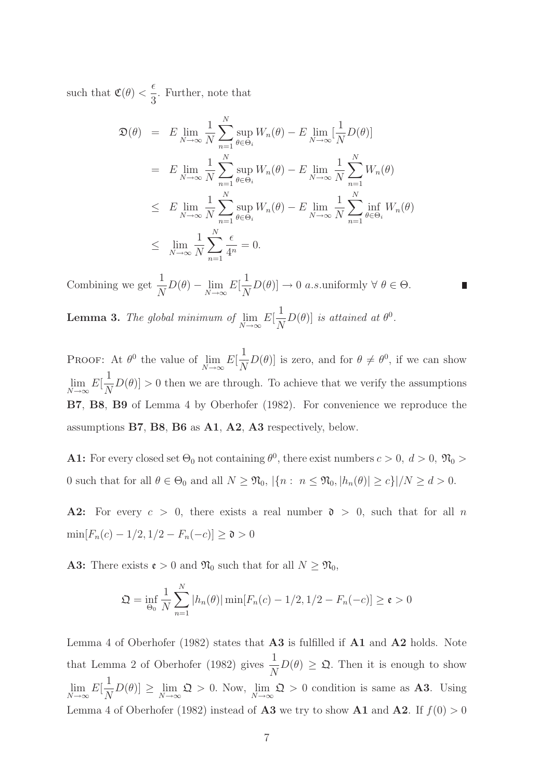such that  $\mathfrak{C}(\theta) < \frac{\epsilon}{2}$ 3 . Further, note that

$$
\mathfrak{D}(\theta) = E \lim_{N \to \infty} \frac{1}{N} \sum_{n=1}^{N} \sup_{\theta \in \Theta_i} W_n(\theta) - E \lim_{N \to \infty} [\frac{1}{N} D(\theta)]
$$
  
\n
$$
= E \lim_{N \to \infty} \frac{1}{N} \sum_{n=1}^{N} \sup_{\theta \in \Theta_i} W_n(\theta) - E \lim_{N \to \infty} \frac{1}{N} \sum_{n=1}^{N} W_n(\theta)
$$
  
\n
$$
\leq E \lim_{N \to \infty} \frac{1}{N} \sum_{n=1}^{N} \sup_{\theta \in \Theta_i} W_n(\theta) - E \lim_{N \to \infty} \frac{1}{N} \sum_{n=1}^{N} \inf_{\theta \in \Theta_i} W_n(\theta)
$$
  
\n
$$
\leq \lim_{N \to \infty} \frac{1}{N} \sum_{n=1}^{N} \frac{\epsilon}{4^n} = 0.
$$

Combining we get  $\frac{1}{\lambda}$  $\frac{1}{N}D(\theta) - \lim_{N \to \infty}$  $E[$ 1  $\frac{1}{N}D(\theta) \rightarrow 0$  a.s.uniformly  $\forall \theta \in \Theta$ .

Lemma 3. The global minimum of lim  $N\rightarrow\infty$  $E[$ 1 N  $D(\theta)$  is attained at  $\theta^0$ .

PROOF: At  $\theta^0$  the value of lim  $N\rightarrow\infty$  $E[$ 1  $\frac{1}{N}D(\theta)$  is zero, and for  $\theta \neq \theta^0$ , if we can show lim  $N\rightarrow\infty$  $E[$ 1  $\overline{N}$  $D(\theta) > 0$  then we are through. To achieve that we verify the assumptions B7, B8, B9 of Lemma 4 by Oberhofer (1982). For convenience we reproduce the assumptions B7, B8, B6 as A1, A2, A3 respectively, below.

**A1:** For every closed set  $\Theta_0$  not containing  $\theta^0$ , there exist numbers  $c > 0$ ,  $d > 0$ ,  $\mathfrak{N}_0 >$ 0 such that for all  $\theta \in \Theta_0$  and all  $N \geq \mathfrak{N}_0$ ,  $|\{n : n \leq \mathfrak{N}_0, |h_n(\theta)| \geq c\}|/N \geq d > 0$ .

A2: For every  $c > 0$ , there exists a real number  $\mathfrak{d} > 0$ , such that for all n  $\min[F_n(c) - 1/2, 1/2 - F_n(-c)] \ge \mathfrak{d} > 0$ 

**A3:** There exists  $\mathbf{e} > 0$  and  $\mathfrak{N}_0$  such that for all  $N \geq \mathfrak{N}_0$ ,

$$
\mathfrak{Q} = \inf_{\Theta_0} \frac{1}{N} \sum_{n=1}^N |h_n(\theta)| \min[F_n(c) - 1/2, 1/2 - F_n(-c)] \ge \mathfrak{e} > 0
$$

Lemma 4 of Oberhofer (1982) states that A3 is fulfilled if A1 and A2 holds. Note that Lemma 2 of Oberhofer (1982) gives  $\frac{1}{\lambda}$  $\frac{1}{N}D(\theta) \geq \mathfrak{Q}$ . Then it is enough to show lim  $N\rightarrow\infty$  $E[$ 1  $\frac{1}{N}D(\theta) \geq \lim_{N \to \infty}$  $\mathfrak{Q} > 0$ . Now,  $\lim_{n \to \infty}$  $N\rightarrow\infty$  $\mathfrak{Q} > 0$  condition is same as **A3**. Using Lemma 4 of Oberhofer (1982) instead of **A3** we try to show **A1** and **A2**. If  $f(0) > 0$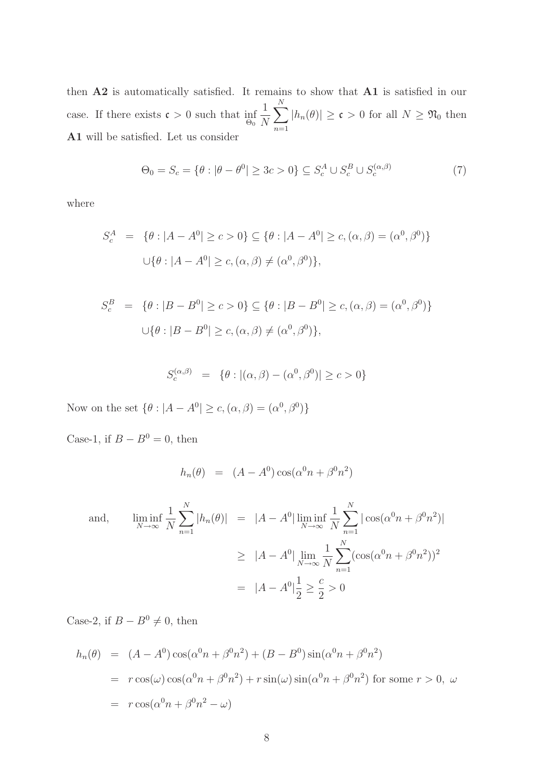then A2 is automatically satisfied. It remains to show that A1 is satisfied in our case. If there exists  $\mathfrak{c} > 0$  such that inf  $\frac{\Theta_0}{\Theta_0}$ 1 N  $\sum_{i=1}^{N}$  $n=1$  $|h_n(\theta)| \ge \mathfrak{c} > 0$  for all  $N \ge \mathfrak{N}_0$  then A1 will be satisfied. Let us consider

$$
\Theta_0 = S_c = \{ \theta : |\theta - \theta^0| \ge 3c > 0 \} \subseteq S_c^A \cup S_c^B \cup S_c^{(\alpha, \beta)}
$$
(7)

where

$$
S_c^A = \{ \theta : |A - A^0| \ge c > 0 \} \subseteq \{ \theta : |A - A^0| \ge c, (\alpha, \beta) = (\alpha^0, \beta^0) \}
$$
  

$$
\cup \{ \theta : |A - A^0| \ge c, (\alpha, \beta) \ne (\alpha^0, \beta^0) \},
$$

$$
S_c^B = \{ \theta : |B - B^0| \ge c > 0 \} \subseteq \{ \theta : |B - B^0| \ge c, (\alpha, \beta) = (\alpha^0, \beta^0) \}
$$
  

$$
\cup \{ \theta : |B - B^0| \ge c, (\alpha, \beta) \ne (\alpha^0, \beta^0) \},
$$

$$
S_c^{(\alpha,\beta)} = \{ \theta : |(\alpha,\beta) - (\alpha^0,\beta^0)| \ge c > 0 \}
$$

Now on the set  $\{\theta : |A - A^0| \ge c, (\alpha, \beta) = (\alpha^0, \beta^0)\}\$ 

Case-1, if  $B - B^0 = 0$ , then

$$
h_n(\theta) = (A - A^0) \cos(\alpha^0 n + \beta^0 n^2)
$$

and, 
$$
\liminf_{N \to \infty} \frac{1}{N} \sum_{n=1}^{N} |h_n(\theta)| = |A - A^0| \liminf_{N \to \infty} \frac{1}{N} \sum_{n=1}^{N} |\cos(\alpha^0 n + \beta^0 n^2)|
$$

$$
\geq |A - A^0| \lim_{N \to \infty} \frac{1}{N} \sum_{n=1}^{N} (\cos(\alpha^0 n + \beta^0 n^2))^2
$$

$$
= |A - A^0| \frac{1}{2} \geq \frac{c}{2} > 0
$$

Case-2, if  $B - B^0 \neq 0$ , then

$$
h_n(\theta) = (A - A^0) \cos(\alpha^0 n + \beta^0 n^2) + (B - B^0) \sin(\alpha^0 n + \beta^0 n^2)
$$
  
=  $r \cos(\omega) \cos(\alpha^0 n + \beta^0 n^2) + r \sin(\omega) \sin(\alpha^0 n + \beta^0 n^2)$  for some  $r > 0$ ,  $\omega$   
=  $r \cos(\alpha^0 n + \beta^0 n^2 - \omega)$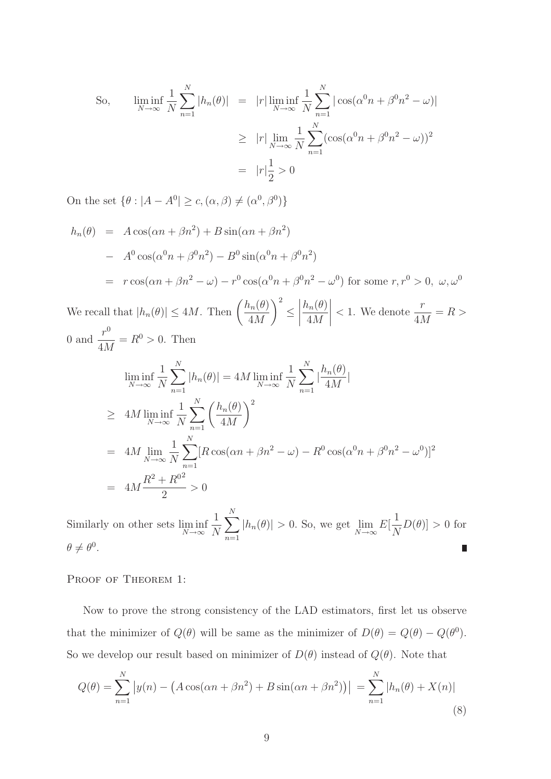So, 
$$
\liminf_{N \to \infty} \frac{1}{N} \sum_{n=1}^{N} |h_n(\theta)| = |r| \liminf_{N \to \infty} \frac{1}{N} \sum_{n=1}^{N} |\cos(\alpha^0 n + \beta^0 n^2 - \omega)|
$$

$$
\geq |r| \lim_{N \to \infty} \frac{1}{N} \sum_{n=1}^{N} (\cos(\alpha^0 n + \beta^0 n^2 - \omega))^2
$$

$$
= |r| \frac{1}{2} > 0
$$

On the set  $\{\theta : |A - A^0| \ge c, (\alpha, \beta) \ne (\alpha^0, \beta^0) \}$ 

$$
h_n(\theta) = A \cos(\alpha n + \beta n^2) + B \sin(\alpha n + \beta n^2)
$$
  
\n
$$
- A^0 \cos(\alpha^0 n + \beta^0 n^2) - B^0 \sin(\alpha^0 n + \beta^0 n^2)
$$
  
\n
$$
= r \cos(\alpha n + \beta n^2 - \omega) - r^0 \cos(\alpha^0 n + \beta^0 n^2 - \omega^0) \text{ for some } r, r^0 > 0, \omega, \omega^0
$$

We recall that  $|h_n(\theta)| \le 4M$ . Then  $\left(\frac{h_n(\theta)}{4M}\right)$ 4M ≤  $h_n(\theta)$ 4M  $\lt 1$ . We denote  $\frac{r}{4\lambda}$ 4M  $= R$ 0 and  $\frac{r^0}{4\lambda}$ 4M  $=R^0>0$ . Then

$$
\liminf_{N \to \infty} \frac{1}{N} \sum_{n=1}^{N} |h_n(\theta)| = 4M \liminf_{N \to \infty} \frac{1}{N} \sum_{n=1}^{N} |\frac{h_n(\theta)}{4M}|
$$
\n
$$
\geq 4M \liminf_{N \to \infty} \frac{1}{N} \sum_{n=1}^{N} \left(\frac{h_n(\theta)}{4M}\right)^2
$$
\n
$$
= 4M \lim_{N \to \infty} \frac{1}{N} \sum_{n=1}^{N} [R \cos(\alpha n + \beta n^2 - \omega) - R^0 \cos(\alpha^0 n + \beta^0 n^2 - \omega^0)]^2
$$
\n
$$
= 4M \frac{R^2 + R^{0^2}}{2} > 0
$$

 $\sum_{i=1}^{N}$ 1 1 Similarly on other sets lim inf  $|h_n(\theta)| > 0$ . So, we get  $\lim_{N \to \infty}$  $E[$  $D(\theta) ] > 0$  for N N  $N\rightarrow\infty$  $n=1$  $\theta \neq \theta^0$ . П

#### PROOF OF THEOREM 1:

Now to prove the strong consistency of the LAD estimators, first let us observe that the minimizer of  $Q(\theta)$  will be same as the minimizer of  $D(\theta) = Q(\theta) - Q(\theta^0)$ . So we develop our result based on minimizer of  $D(\theta)$  instead of  $Q(\theta)$ . Note that

$$
Q(\theta) = \sum_{n=1}^{N} |y(n) - (A\cos(\alpha n + \beta n^2) + B\sin(\alpha n + \beta n^2))| = \sum_{n=1}^{N} |h_n(\theta) + X(n)|
$$
\n(8)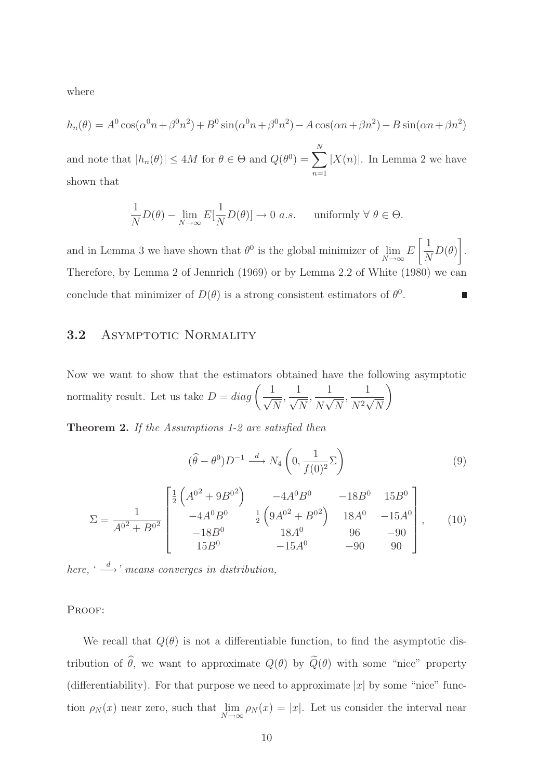where

$$
h_n(\theta) = A^0 \cos(\alpha^0 n + \beta^0 n^2) + B^0 \sin(\alpha^0 n + \beta^0 n^2) - A \cos(\alpha n + \beta n^2) - B \sin(\alpha n + \beta n^2)
$$

and note that  $|h_n(\theta)| \le 4M$  for  $\theta \in \Theta$  and  $Q(\theta^0) = \sum_{n=1}^{N}$  $n=1$  $|X(n)|$ . In Lemma 2 we have shown that

$$
\frac{1}{N}D(\theta) - \lim_{N \to \infty} E[\frac{1}{N}D(\theta)] \to 0 \text{ a.s.} \quad \text{uniformly } \forall \ \theta \in \Theta.
$$

and in Lemma 3 we have shown that  $\theta^0$  is the global minimizer of lim  $N\rightarrow\infty$ E  $\lceil 1 \rceil$ N  $D(\theta)$ 1 . Therefore, by Lemma 2 of Jennrich (1969) or by Lemma 2.2 of White (1980) we can conclude that minimizer of  $D(\theta)$  is a strong consistent estimators of  $\theta^0$ .

#### 3.2 ASYMPTOTIC NORMALITY

Now we want to show that the estimators obtained have the following asymptotic normality result. Let us take  $D = diag\left(\frac{1}{\sqrt{2}}\right)$  $\sqrt{N}$ , 1  $\sqrt{N}$ , 1  $\overline{N\sqrt{N}}$ , 1  $\overline{N^2\sqrt{N}}$  $\setminus$ 

Theorem 2. If the Assumptions 1-2 are satisfied then

$$
(\widehat{\theta} - \theta^0) D^{-1} \xrightarrow{d} N_4 \left( 0, \frac{1}{f(0)^2} \Sigma \right)
$$
 (9)

$$
\Sigma = \frac{1}{A^{02} + B^{02}} \begin{bmatrix} \frac{1}{2} \left( A^{02} + 9B^{02} \right) & -4A^0 B^0 & -18B^0 & 15B^0 \\ -4A^0 B^0 & \frac{1}{2} \left( 9A^{02} + B^{02} \right) & 18A^0 & -15A^0 \\ -18B^0 & 18A^0 & 96 & -90 \\ 15B^0 & -15A^0 & -90 & 90 \end{bmatrix}, \qquad (10)
$$

here,  $\stackrel{\text{(d)}}{\longrightarrow}$  means converges in distribution,

PROOF:

We recall that  $Q(\theta)$  is not a differentiable function, to find the asymptotic distribution of  $\hat{\theta}$ , we want to approximate  $Q(\theta)$  by  $\tilde{Q}(\theta)$  with some "nice" property (differentiability). For that purpose we need to approximate  $|x|$  by some "nice" function  $\rho_N(x)$  near zero, such that  $\lim_{N \to \infty}$  $\lim_{N\to\infty} \rho_N(x) = |x|$ . Let us consider the interval near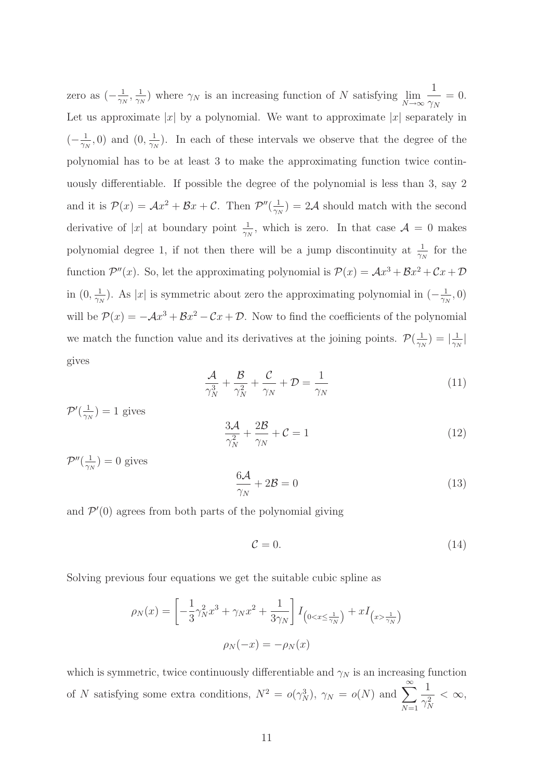zero as  $(-\frac{1}{\gamma_{l}})$  $\frac{1}{\gamma_N}, \frac{1}{\gamma_N}$  $\frac{1}{\gamma_N}$ ) where  $\gamma_N$  is an increasing function of N satisfying  $\lim_{N\to\infty}$  $N\rightarrow\infty$ 1  $\gamma_N$  $= 0.$ Let us approximate |x| by a polynomial. We want to approximate  $|x|$  separately in  $\left(-\frac{1}{\gamma_{l}}\right)$  $\frac{1}{\gamma_N}, 0$  and  $(0, \frac{1}{\gamma_N})$  $\frac{1}{\gamma_N}$ ). In each of these intervals we observe that the degree of the polynomial has to be at least 3 to make the approximating function twice continuously differentiable. If possible the degree of the polynomial is less than 3, say 2 and it is  $\mathcal{P}(x) = \mathcal{A}x^2 + \mathcal{B}x + \mathcal{C}$ . Then  $\mathcal{P}''(\frac{1}{\gamma \gamma})$  $\frac{1}{\gamma_N}$ ) = 2A should match with the second derivative of |x| at boundary point  $\frac{1}{\gamma_N}$ , which is zero. In that case  $\mathcal{A} = 0$  makes polynomial degree 1, if not then there will be a jump discontinuity at  $\frac{1}{\gamma_N}$  for the function  $\mathcal{P}''(x)$ . So, let the approximating polynomial is  $\mathcal{P}(x) = \mathcal{A}x^3 + \mathcal{B}x^2 + \mathcal{C}x + \mathcal{D}$ in  $(0, \frac{1}{\gamma})$  $\frac{1}{\gamma_N}$ ). As |x| is symmetric about zero the approximating polynomial in  $\left(-\frac{1}{\gamma_N}\right)$  $\frac{1}{\gamma_N}, 0)$ will be  $\mathcal{P}(x) = -\mathcal{A}x^3 + \mathcal{B}x^2 - \mathcal{C}x + \mathcal{D}$ . Now to find the coefficients of the polynomial we match the function value and its derivatives at the joining points.  $\mathcal{P}(\frac{1}{\gamma_{l}})$  $\frac{1}{\gamma_N})=|\frac{1}{\gamma_I}$  $\frac{1}{\gamma_N}$ | gives

$$
\frac{\mathcal{A}}{\gamma_N^3} + \frac{\mathcal{B}}{\gamma_N^2} + \frac{\mathcal{C}}{\gamma_N} + \mathcal{D} = \frac{1}{\gamma_N} \tag{11}
$$

 $\mathcal{P}^\prime(\frac{1}{\gamma_N}$  $(\frac{1}{\gamma_N}) = 1$  gives  $\frac{3\mathcal{A}}{4}$  $\gamma_N^2$  $+\frac{2\mathcal{B}}{2\mathcal{B}}$  $\frac{2\infty}{\gamma_N} + C = 1$  (12)  $\mathcal{P}''(\frac{1}{\gamma_I}$  $\frac{1}{\gamma_N}$ ) = 0 gives

$$
\frac{6\mathcal{A}}{\gamma_N} + 2\mathcal{B} = 0\tag{13}
$$

and  $\mathcal{P}'(0)$  agrees from both parts of the polynomial giving

$$
\mathcal{C} = 0.\tag{14}
$$

Solving previous four equations we get the suitable cubic spline as

$$
\rho_N(x) = \left[ -\frac{1}{3} \gamma_N^2 x^3 + \gamma_N x^2 + \frac{1}{3\gamma_N} \right] I_{(0 < x \le \frac{1}{\gamma_N})} + x I_{(x > \frac{1}{\gamma_N})}
$$

$$
\rho_N(-x) = -\rho_N(x)
$$

which is symmetric, twice continuously differentiable and  $\gamma_N$  is an increasing function of N satisfying some extra conditions,  $N^2 = o(\gamma_N^3)$ ,  $\gamma_N = o(N)$  and  $\sum_{N=1}^{\infty}$  $N=1$ 1  $\frac{1}{\gamma_N^2} < \infty$ ,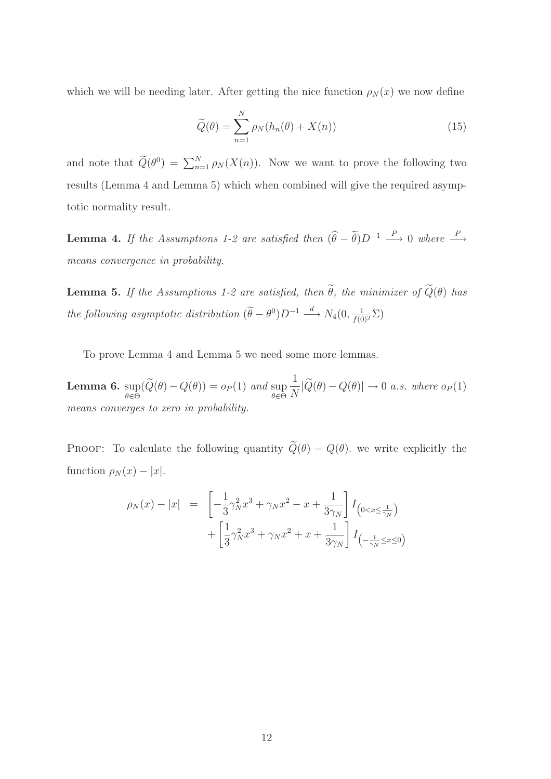which we will be needing later. After getting the nice function  $\rho_N(x)$  we now define

$$
\widetilde{Q}(\theta) = \sum_{n=1}^{N} \rho_N(h_n(\theta) + X(n))
$$
\n(15)

and note that  $\widetilde{Q}(\theta^0) = \sum_{n=1}^N \rho_N(X(n))$ . Now we want to prove the following two results (Lemma 4 and Lemma 5) which when combined will give the required asymptotic normality result.

**Lemma 4.** If the Assumptions 1-2 are satisfied then  $(\hat{\theta} - \tilde{\theta})D^{-1} \stackrel{P}{\longrightarrow} 0$  where  $\stackrel{P}{\longrightarrow}$ means convergence in probability.

**Lemma 5.** If the Assumptions 1-2 are satisfied, then  $\tilde{\theta}$ , the minimizer of  $\tilde{Q}(\theta)$  has the following asymptotic distribution  $(\widetilde{\theta} - \theta^0)D^{-1} \stackrel{d}{\longrightarrow} N_4(0, \frac{1}{f(0)^2} \Sigma)$ 

To prove Lemma 4 and Lemma 5 we need some more lemmas.

Lemma 6. sup  $\sup_{\theta \in \Theta} (Q(\theta) - Q(\theta)) = o_P(1)$  and  $\sup_{\theta \in \Theta}$ 1  $\frac{1}{N}|Q(\theta) - Q(\theta)| \to 0$  a.s. where  $o_P(1)$ means converges to zero in probability.

PROOF: To calculate the following quantity  $\tilde{Q}(\theta) - Q(\theta)$ , we write explicitly the function  $\rho_N(x) - |x|$ .

$$
\rho_N(x) - |x| = \left[ -\frac{1}{3} \gamma_N^2 x^3 + \gamma_N x^2 - x + \frac{1}{3\gamma_N} \right] I_{(0 < x \le \frac{1}{\gamma_N})} + \left[ \frac{1}{3} \gamma_N^2 x^3 + \gamma_N x^2 + x + \frac{1}{3\gamma_N} \right] I_{(-\frac{1}{\gamma_N} \le x \le 0)}
$$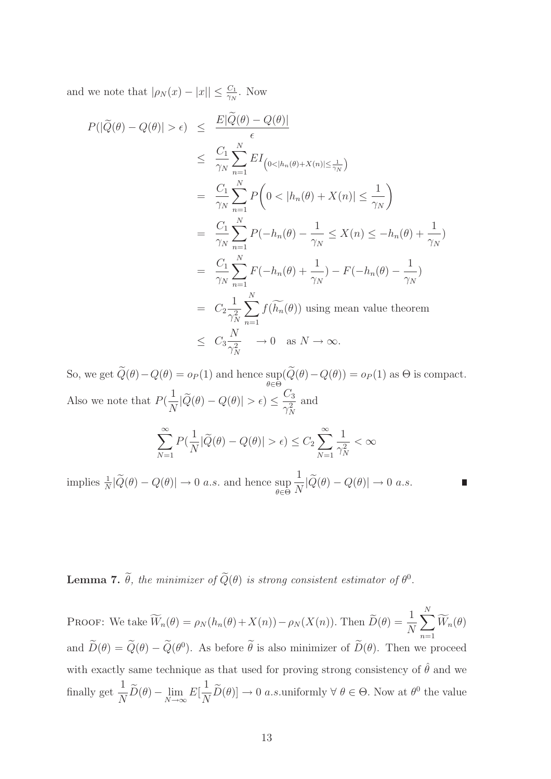and we note that  $|\rho_N(x) - |x|| \leq \frac{C_1}{\gamma_N}$ . Now

$$
P(|\widetilde{Q}(\theta) - Q(\theta)| > \epsilon) \leq \frac{E|\widetilde{Q}(\theta) - Q(\theta)|}{\epsilon}
$$
  
\n
$$
\leq \frac{C_1}{\gamma_N} \sum_{n=1}^N E I_{(0 < |h_n(\theta) + X(n)| \leq \frac{1}{\gamma_N})}
$$
  
\n
$$
= \frac{C_1}{\gamma_N} \sum_{n=1}^N P\left(0 < |h_n(\theta) + X(n)| \leq \frac{1}{\gamma_N}\right)
$$
  
\n
$$
= \frac{C_1}{\gamma_N} \sum_{n=1}^N P(-h_n(\theta) - \frac{1}{\gamma_N} \leq X(n) \leq -h_n(\theta) + \frac{1}{\gamma_N})
$$
  
\n
$$
= \frac{C_1}{\gamma_N} \sum_{n=1}^N F(-h_n(\theta) + \frac{1}{\gamma_N}) - F(-h_n(\theta) - \frac{1}{\gamma_N})
$$
  
\n
$$
= C_2 \frac{1}{\gamma_N^2} \sum_{n=1}^N f(\widetilde{h_n}(\theta)) \text{ using mean value theorem}
$$
  
\n
$$
\leq C_3 \frac{N}{\gamma_N^2} \to 0 \text{ as } N \to \infty.
$$

So, we get  $Q(\theta) - Q(\theta) = o_P(1)$  and hence  $\sup_{\theta \in \Theta} (Q(\theta) - Q(\theta)) = o_P(1)$  as  $\Theta$  is compact. θ∈Θ Also we note that  $P($ 1  $\frac{1}{N}|Q(\theta) - Q(\theta)| > \epsilon$ )  $\leq$  $C_3$  $\gamma_N^2$ and  $\sum_{i=1}^{\infty}$  $N=1$  $P($ 1  $\frac{1}{N}|Q(\theta) - Q(\theta)| > \epsilon$ )  $\leq C_2$  $\sum_{\infty}$  $N=1$ 1  $\frac{1}{\gamma_N^2} < \infty$ 

implies  $\frac{1}{N}|\tilde{Q}(\theta) - Q(\theta)| \to 0$  *a.s.* and hence sup  $\theta \in \Theta$ 1  $\frac{1}{N}|Q(\theta) - Q(\theta)| \to 0 \text{ a.s.}$ 

**Lemma 7.**  $\theta$ , the minimizer of  $Q(\theta)$  is strong consistent estimator of  $\theta^0$ .

PROOF: We take  $\widetilde{W}_n(\theta) = \rho_N(h_n(\theta) + X(n)) - \rho_N(X(n))$ . Then  $\widetilde{D}(\theta) = \frac{1}{N}$  $\sum_{i=1}^{N}$  $n=1$  $W_n(\theta)$ and  $\overline{D}(\theta) = \overline{Q}(\theta) - \overline{Q}(\theta^0)$ . As before  $\theta$  is also minimizer of  $\overline{D}(\theta)$ . Then we proceed with exactly same technique as that used for proving strong consistency of  $\hat{\theta}$  and we finally get  $\frac{1}{\lambda}$  $\frac{1}{N}D(\theta) - \lim_{N \to \infty}$  $E[\,$ 1  $\frac{1}{N}D(\theta) \to 0$  *a.s.* uniformly  $\forall \theta \in \Theta$ . Now at  $\theta^0$  the value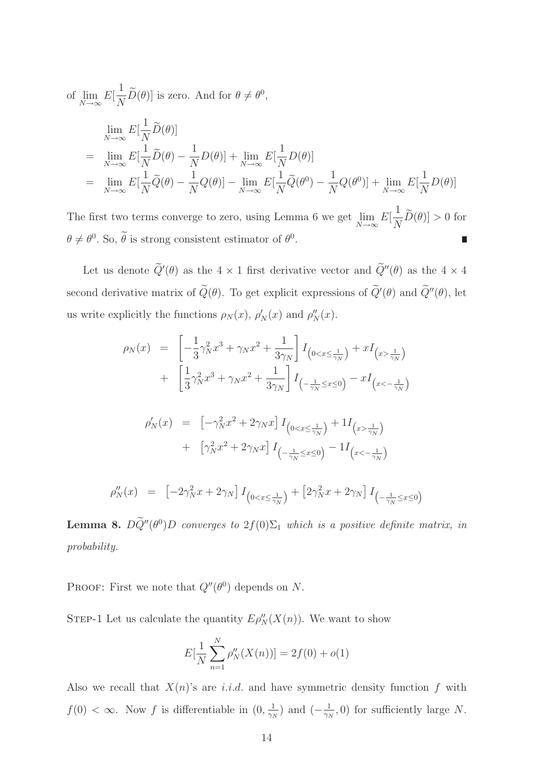of 
$$
\lim_{N \to \infty} E[\frac{1}{N}\widetilde{D}(\theta)]
$$
 is zero. And for  $\theta \neq \theta^0$ ,  
\n
$$
\lim_{N \to \infty} E[\frac{1}{N}\widetilde{D}(\theta)]
$$
\n
$$
= \lim_{N \to \infty} E[\frac{1}{N}\widetilde{D}(\theta) - \frac{1}{N}D(\theta)] + \lim_{N \to \infty} E[\frac{1}{N}D(\theta)]
$$
\n
$$
= \lim_{N \to \infty} E[\frac{1}{N}\widetilde{Q}(\theta) - \frac{1}{N}Q(\theta)] - \lim_{N \to \infty} E[\frac{1}{N}\widetilde{Q}(\theta^0) - \frac{1}{N}Q(\theta^0)] + \lim_{N \to \infty} E[\frac{1}{N}D(\theta)]
$$

The first two terms converge to zero, using Lemma 6 we get lim  $N\rightarrow\infty$  $E[$ 1  $\frac{1}{N}D(\theta) > 0$  for  $\theta \neq \theta^0$ . So,  $\theta$  is strong consistent estimator of  $\theta^0$ .

Let us denote  $Q'(\theta)$  as the  $4 \times 1$  first derivative vector and  $Q''(\theta)$  as the  $4 \times 4$ second derivative matrix of  $Q(\theta)$ . To get explicit expressions of  $Q'(\theta)$  and  $Q''(\theta)$ , let us write explicitly the functions  $\rho_N(x)$ ,  $\rho'_N(x)$  and  $\rho''_N(x)$ .

$$
\rho_N(x) = \left[ -\frac{1}{3} \gamma_N^2 x^3 + \gamma_N x^2 + \frac{1}{3\gamma_N} \right] I_{(0 < x \le \frac{1}{\gamma_N})} + x I_{(x > \frac{1}{\gamma_N})}
$$
  
+ 
$$
\left[ \frac{1}{3} \gamma_N^2 x^3 + \gamma_N x^2 + \frac{1}{3\gamma_N} \right] I_{(-\frac{1}{\gamma_N} \le x \le 0)} - x I_{(x < -\frac{1}{\gamma_N})}
$$
  

$$
\rho'_N(x) = \left[ -\gamma_N^2 x^2 + 2\gamma_N x \right] I_{(0 < x \le \frac{1}{\gamma_N})} + 1 I_{(x > \frac{1}{\gamma_N})}
$$
  
+ 
$$
\left[ \gamma_N^2 x^2 + 2\gamma_N x \right] I_{(-\frac{1}{\gamma_N} \le x \le 0)} - 1 I_{(x < -\frac{1}{\gamma_N})}
$$
  

$$
\rho''_N(x) = \left[ -2\gamma_N^2 x + 2\gamma_N \right] I_{(0 < x \le \frac{1}{\gamma_N})} + \left[ 2\gamma_N^2 x + 2\gamma_N \right] I_{(-\frac{1}{\gamma_N} \le x \le 0)}
$$

**Lemma 8.**  $D\tilde{Q}''(\theta^0)D$  converges to  $2f(0)\Sigma_1$  which is a positive definite matrix, in probability.

PROOF: First we note that  $Q''(\theta^0)$  depends on N.

STEP-1 Let us calculate the quantity  $E \rho''_N(X(n))$ . We want to show

$$
E[\frac{1}{N}\sum_{n=1}^{N}\rho''_N(X(n))] = 2f(0) + o(1)
$$

Also we recall that  $X(n)$ 's are i.i.d. and have symmetric density function f with  $f(0) < \infty$ . Now f is differentiable in  $(0, \frac{1}{\gamma}$  $\frac{1}{\gamma_N}$ ) and  $\left(-\frac{1}{\gamma_N}\right)$  $\frac{1}{\gamma_N}$ , 0) for sufficiently large N.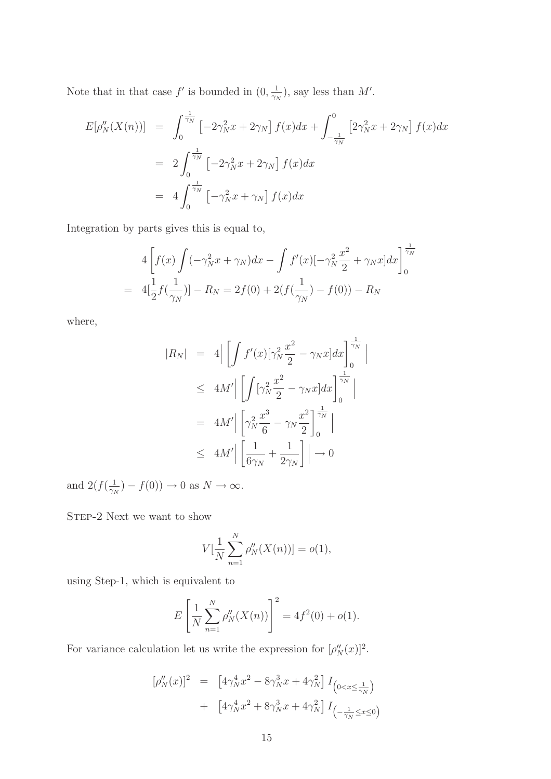Note that in that case  $f'$  is bounded in  $(0, \frac{1}{\infty})$  $\frac{1}{\gamma_N}$ ), say less than M'.

$$
E[\rho''_N(X(n))] = \int_0^{\frac{1}{\gamma_N}} \left[ -2\gamma_N^2 x + 2\gamma_N \right] f(x) dx + \int_{-\frac{1}{\gamma_N}}^0 \left[ 2\gamma_N^2 x + 2\gamma_N \right] f(x) dx
$$
  

$$
= 2 \int_0^{\frac{1}{\gamma_N}} \left[ -2\gamma_N^2 x + 2\gamma_N \right] f(x) dx
$$
  

$$
= 4 \int_0^{\frac{1}{\gamma_N}} \left[ -\gamma_N^2 x + \gamma_N \right] f(x) dx
$$

Integration by parts gives this is equal to,

$$
4\left[f(x)\int(-\gamma_N^2 x + \gamma_N)dx - \int f'(x)[-\gamma_N^2 \frac{x^2}{2} + \gamma_N x]dx\right]_0^{\frac{1}{\gamma_N}}
$$
  
=  $4[\frac{1}{2}f(\frac{1}{\gamma_N})] - R_N = 2f(0) + 2(f(\frac{1}{\gamma_N}) - f(0)) - R_N$ 

where,

$$
|R_N| = 4 \left| \int f'(x) [\gamma_N^2 \frac{x^2}{2} - \gamma_N x] dx \right|_0^{\frac{1}{\gamma_N}} \Big|
$$
  
\n
$$
\leq 4M' \left| \int [\gamma_N^2 \frac{x^2}{2} - \gamma_N x] dx \right|_0^{\frac{1}{\gamma_N}} \Big|
$$
  
\n
$$
= 4M' \left| \left[ \gamma_N^2 \frac{x^3}{6} - \gamma_N \frac{x^2}{2} \right]_0^{\frac{1}{\gamma_N}} \right|
$$
  
\n
$$
\leq 4M' \left| \left[ \frac{1}{6\gamma_N} + \frac{1}{2\gamma_N} \right] \right| \to 0
$$

and  $2(f(\frac{1}{\gamma})$  $(\frac{1}{\gamma_N}) - f(0) \to 0$  as  $N \to \infty$ .

STEP-2 Next we want to show

$$
V[\frac{1}{N}\sum_{n=1}^{N}\rho''_N(X(n))] = o(1),
$$

using Step-1, which is equivalent to

$$
E\left[\frac{1}{N}\sum_{n=1}^{N}\rho_{N}''(X(n))\right]^2 = 4f^2(0) + o(1).
$$

For variance calculation let us write the expression for  $[\rho''_N(x)]^2$ .

$$
[\rho_N''(x)]^2 = [4\gamma_N^4 x^2 - 8\gamma_N^3 x + 4\gamma_N^2] I_{(0 < x \le \frac{1}{\gamma_N})}
$$
  
+ 
$$
[4\gamma_N^4 x^2 + 8\gamma_N^3 x + 4\gamma_N^2] I_{(-\frac{1}{\gamma_N} \le x \le 0)}
$$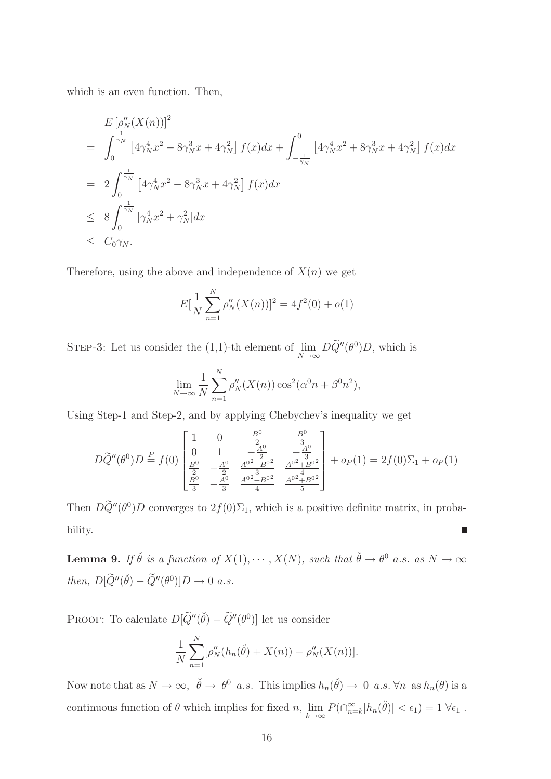which is an even function. Then,

$$
E\left[\rho_{N}''(X(n))\right]^{2}
$$
\n
$$
= \int_{0}^{\frac{1}{\gamma_{N}}} \left[4\gamma_{N}^{4}x^{2} - 8\gamma_{N}^{3}x + 4\gamma_{N}^{2}\right] f(x)dx + \int_{-\frac{1}{\gamma_{N}}}^{0} \left[4\gamma_{N}^{4}x^{2} + 8\gamma_{N}^{3}x + 4\gamma_{N}^{2}\right] f(x)dx
$$
\n
$$
= 2 \int_{0}^{\frac{1}{\gamma_{N}}} \left[4\gamma_{N}^{4}x^{2} - 8\gamma_{N}^{3}x + 4\gamma_{N}^{2}\right] f(x)dx
$$
\n
$$
\leq 8 \int_{0}^{\frac{1}{\gamma_{N}}} |\gamma_{N}^{4}x^{2} + \gamma_{N}^{2}|dx
$$
\n
$$
\leq C_{0}\gamma_{N}.
$$

Therefore, using the above and independence of  $X(n)$  we get

$$
E[\frac{1}{N}\sum_{n=1}^{N}\rho''_N(X(n))]^2 = 4f^2(0) + o(1)
$$

STEP-3: Let us consider the  $(1,1)$ -th element of  $\lim$  $\lim_{N\to\infty} D\widetilde{Q}''(\theta^0)D$ , which is

$$
\lim_{N \to \infty} \frac{1}{N} \sum_{n=1}^{N} \rho_N''(X(n)) \cos^2(\alpha^0 n + \beta^0 n^2),
$$

Using Step-1 and Step-2, and by applying Chebychev's inequality we get

$$
D\widetilde{Q}''(\theta^0)D \stackrel{P}{=} f(0) \begin{bmatrix} 1 & 0 & \frac{B^0}{2} & \frac{B^0}{3} \\ 0 & 1 & -\frac{A^0}{2} & -\frac{A^0}{3} \\ \frac{B^0}{2} & -\frac{A^0}{2} & \frac{A^{0^2} + B^{0^2}}{4} & \frac{A^{0^2} + B^{0^2}}{4} \\ \frac{B^0}{3} & -\frac{A^0}{3} & \frac{A^{0^2} + B^{0^2}}{4} & \frac{A^{0^2} + B^{0^2}}{5} \end{bmatrix} + op(1) = 2f(0)\Sigma_1 + op(1)
$$

Then  $D\tilde{Q}''(\theta^0)D$  converges to  $2f(0)\Sigma_1$ , which is a positive definite matrix, in probability.  $\overline{\phantom{a}}$ 

**Lemma 9.** If  $\check{\theta}$  is a function of  $X(1), \dots, X(N)$ , such that  $\check{\theta} \to \theta^0$  a.s. as  $N \to \infty$ then,  $D[\widetilde{Q}''(\breve{\theta}) - \widetilde{Q}''(\theta^0)]D \to 0$  a.s.

PROOF: To calculate  $D[\widetilde{Q}''(\check{\theta}) - \widetilde{Q}''(\theta^0)]$  let us consider

$$
\frac{1}{N} \sum_{n=1}^{N} [\rho''_N(h_n(\check{\theta}) + X(n)) - \rho''_N(X(n))].
$$

Now note that as  $N \to \infty$ ,  $\ddot{\theta} \to \theta^0$  a.s. This implies  $h_n(\ddot{\theta}) \to 0$  a.s.  $\forall n$  as  $h_n(\theta)$  is a continuous function of  $\theta$  which implies for fixed n, lim  $\lim_{k\to\infty} P(\bigcap_{n=k}^{\infty} |h_n(\check{\theta})| < \epsilon_1) = 1 \,\forall \epsilon_1.$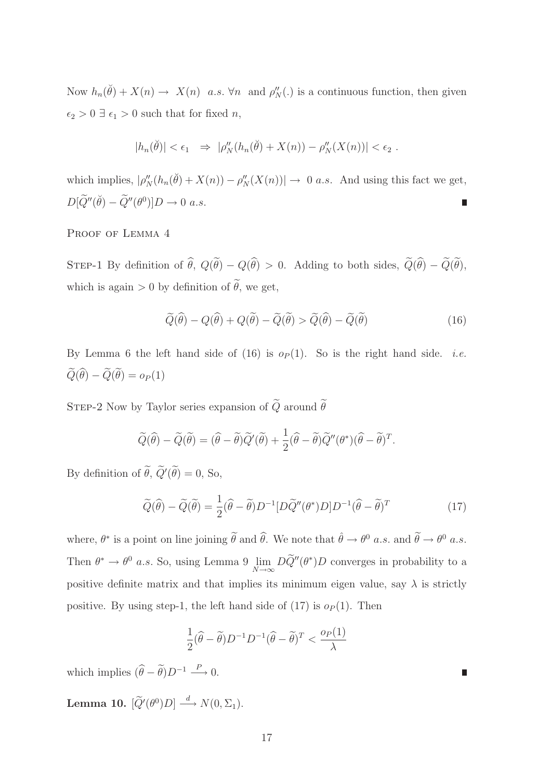Now  $h_n(\check{\theta}) + X(n) \to X(n)$  a.s.  $\forall n$  and  $\rho''_N(.)$  is a continuous function, then given  $\epsilon_2 > 0 \ \exists \ \epsilon_1 > 0$  such that for fixed  $n,$ 

$$
|h_n(\breve{\theta})| < \epsilon_1 \Rightarrow |\rho_N''(h_n(\breve{\theta}) + X(n)) - \rho_N''(X(n))| < \epsilon_2.
$$

which implies,  $|\rho''_N(h_n(\check{\theta}) + X(n)) - \rho''_N(X(n))| \to 0$  *a.s.* And using this fact we get,  $D[\widetilde{Q}''(\breve{\theta}) - \widetilde{Q}''(\theta^0)]D \to 0 \text{ a.s.}$ 

PROOF OF LEMMA 4

STEP-1 By definition of  $\hat{\theta}$ ,  $Q(\tilde{\theta}) - Q(\hat{\theta}) > 0$ . Adding to both sides,  $\tilde{Q}(\hat{\theta}) - \tilde{Q}(\tilde{\theta})$ , which is again  $> 0$  by definition of  $\tilde{\theta}$ , we get,

$$
\widetilde{Q}(\widehat{\theta}) - Q(\widehat{\theta}) + Q(\widetilde{\theta}) - \widetilde{Q}(\widetilde{\theta}) > \widetilde{Q}(\widehat{\theta}) - \widetilde{Q}(\widetilde{\theta}) \tag{16}
$$

By Lemma 6 the left hand side of (16) is  $o_P(1)$ . So is the right hand side. *i.e.*  $\widetilde{Q}(\widehat{\theta}) - \widetilde{Q}(\widetilde{\theta}) = o_P(1)$ 

STEP-2 Now by Taylor series expansion of  $\widetilde{Q}$  around  $\widetilde{\theta}$ 

$$
\widetilde{Q}(\widehat{\theta}) - \widetilde{Q}(\widetilde{\theta}) = (\widehat{\theta} - \widetilde{\theta})\widetilde{Q}'(\widetilde{\theta}) + \frac{1}{2}(\widehat{\theta} - \widetilde{\theta})\widetilde{Q}''(\theta^*)(\widehat{\theta} - \widetilde{\theta})^T.
$$

By definition of  $\theta$ ,  $Q'(\theta) = 0$ , So,

$$
\widetilde{Q}(\widehat{\theta}) - \widetilde{Q}(\widetilde{\theta}) = \frac{1}{2} (\widehat{\theta} - \widetilde{\theta}) D^{-1} [D \widetilde{Q}''(\theta^*) D] D^{-1} (\widehat{\theta} - \widetilde{\theta})^T
$$
\n(17)

where,  $\theta^*$  is a point on line joining  $\tilde{\theta}$  and  $\hat{\theta}$ . We note that  $\hat{\theta} \to \theta^0$  a.s. and  $\tilde{\theta} \to \theta^0$  a.s. Then  $\theta^* \to \theta^0$  a.s. So, using Lemma 9  $\lim_{N \to \infty}$  $\lim_{N\to\infty}DQ''(\theta^*)D$  converges in probability to a positive definite matrix and that implies its minimum eigen value, say  $\lambda$  is strictly positive. By using step-1, the left hand side of  $(17)$  is  $o_P(1)$ . Then

$$
\frac{1}{2}(\widehat{\theta} - \widetilde{\theta})D^{-1}D^{-1}(\widehat{\theta} - \widetilde{\theta})^T < \frac{o_P(1)}{\lambda}
$$

which implies  $(\widehat{\theta} - \widetilde{\theta})D^{-1} \stackrel{P}{\longrightarrow} 0.$ 

Lemma 10.  $[\widetilde{Q}'(\theta^0)D] \stackrel{d}{\longrightarrow} N(0,\Sigma_1)$ .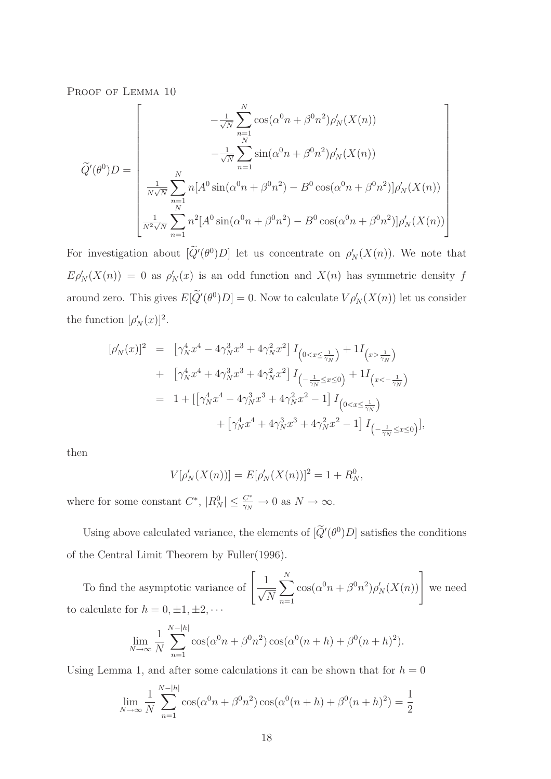PROOF OF LEMMA 10

$$
\tilde{Q}'(\theta^0)D = \begin{bmatrix}\n-\frac{1}{\sqrt{N}} \sum_{n=1}^N \cos(\alpha^0 n + \beta^0 n^2) \rho'_N(X(n)) \\
-\frac{1}{\sqrt{N}} \sum_{n=1}^N \sin(\alpha^0 n + \beta^0 n^2) \rho'_N(X(n)) \\
\frac{1}{N\sqrt{N}} \sum_{n=1}^N n[A^0 \sin(\alpha^0 n + \beta^0 n^2) - B^0 \cos(\alpha^0 n + \beta^0 n^2)] \rho'_N(X(n)) \\
\frac{1}{N^2\sqrt{N}} \sum_{n=1}^N n^2[A^0 \sin(\alpha^0 n + \beta^0 n^2) - B^0 \cos(\alpha^0 n + \beta^0 n^2)] \rho'_N(X(n))\n\end{bmatrix}
$$

For investigation about  $[Q'(\theta^0)D]$  let us concentrate on  $\rho'_N(X(n))$ . We note that  $E \rho'_N(X(n)) = 0$  as  $\rho'_N(x)$  is an odd function and  $X(n)$  has symmetric density f around zero. This gives  $E[Q'(\theta^0)D] = 0$ . Now to calculate  $V \rho'_N(X(n))$  let us consider the function  $[\rho'_N(x)]^2$ .

$$
\begin{split} [\rho_N'(x)]^2 &= \left[ \gamma_N^4 x^4 - 4 \gamma_N^3 x^3 + 4 \gamma_N^2 x^2 \right] I_{\left(0 < x \le \frac{1}{\gamma_N}\right)} + 1 I_{\left(x > \frac{1}{\gamma_N}\right)} \\ &+ \left[ \gamma_N^4 x^4 + 4 \gamma_N^3 x^3 + 4 \gamma_N^2 x^2 \right] I_{\left(-\frac{1}{\gamma_N} \le x \le 0\right)} + 1 I_{\left(x < -\frac{1}{\gamma_N}\right)} \\ &= 1 + \left[ \left[ \gamma_N^4 x^4 - 4 \gamma_N^3 x^3 + 4 \gamma_N^2 x^2 - 1 \right] I_{\left(0 < x \le \frac{1}{\gamma_N}\right)} \right. \\ &\left. + \left[ \gamma_N^4 x^4 + 4 \gamma_N^3 x^3 + 4 \gamma_N^2 x^2 - 1 \right] I_{\left(-\frac{1}{\gamma_N} \le x \le 0\right)} \right], \end{split}
$$

then

$$
V[\rho'_N(X(n))] = E[\rho'_N(X(n))]^2 = 1 + R_N^0,
$$

where for some constant  $C^*$ ,  $|R_N^0| \leq \frac{C^*}{\gamma_N} \to 0$  as  $N \to \infty$ .

Using above calculated variance, the elements of  $[Q'(\theta^0)D]$  satisfies the conditions of the Central Limit Theorem by Fuller(1996).

To find the asymptotic variance of  $\begin{bmatrix} 1 \\ -7 \end{bmatrix}$  $\sqrt{N}$  $\sum_{i=1}^{N}$  $n=1$  $\cos(\alpha^0 n + \beta^0 n^2) \rho'_N(X(n))$  we need to calculate for  $h = 0, \pm 1, \pm 2, \cdots$ 

$$
\lim_{N \to \infty} \frac{1}{N} \sum_{n=1}^{N-|h|} \cos(\alpha^0 n + \beta^0 n^2) \cos(\alpha^0 (n+h) + \beta^0 (n+h)^2).
$$

Using Lemma 1, and after some calculations it can be shown that for  $h = 0$ 

$$
\lim_{N \to \infty} \frac{1}{N} \sum_{n=1}^{N-|h|} \cos(\alpha^0 n + \beta^0 n^2) \cos(\alpha^0 (n+h) + \beta^0 (n+h)^2) = \frac{1}{2}
$$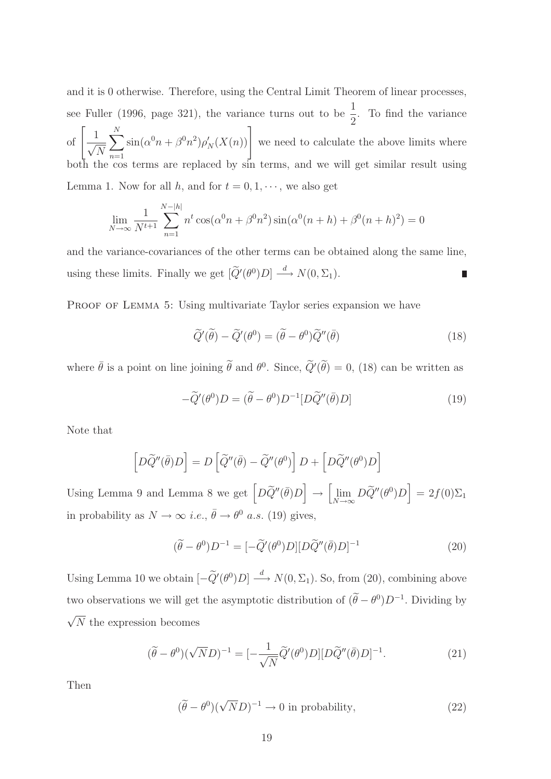and it is 0 otherwise. Therefore, using the Central Limit Theorem of linear processes, see Fuller (1996, page 321), the variance turns out to be  $\frac{1}{2}$ 2 . To find the variance of  $\left[\frac{1}{\sqrt{2}}\right]$  $\sqrt{N}$  $\sum_{i=1}^{N}$  $n=1$  $\left[\sin(\alpha^0 n + \beta^0 n^2)\rho'_N(X(n))\right]$  we need to calculate the above limits where both the cos terms are replaced by sin terms, and we will get similar result using Lemma 1. Now for all h, and for  $t = 0, 1, \dots$ , we also get

$$
\lim_{N \to \infty} \frac{1}{N^{t+1}} \sum_{n=1}^{N-|h|} n^t \cos(\alpha^0 n + \beta^0 n^2) \sin(\alpha^0 (n+h) + \beta^0 (n+h)^2) = 0
$$

and the variance-covariances of the other terms can be obtained along the same line, using these limits. Finally we get  $[\widetilde{Q}'(\theta^0)D] \stackrel{d}{\longrightarrow} N(0,\Sigma_1)$ . ī

PROOF OF LEMMA 5: Using multivariate Taylor series expansion we have

$$
\widetilde{Q}'(\widetilde{\theta}) - \widetilde{Q}'(\theta^0) = (\widetilde{\theta} - \theta^0)\widetilde{Q}''(\overline{\theta})
$$
\n(18)

where  $\bar{\theta}$  is a point on line joining  $\tilde{\theta}$  and  $\theta^0$ . Since,  $\tilde{Q}'(\tilde{\theta}) = 0$ , (18) can be written as

$$
-\widetilde{Q}'(\theta^0)D = (\widetilde{\theta} - \theta^0)D^{-1}[D\widetilde{Q}''(\overline{\theta})D]
$$
\n(19)

Note that

$$
\left[D\widetilde{Q}''(\overline{\theta})D\right] = D\left[\widetilde{Q}''(\overline{\theta}) - \widetilde{Q}''(\theta^0)\right]D + \left[D\widetilde{Q}''(\theta^0)D\right]
$$

Using Lemma 9 and Lemma 8 we get  $\left[ D\widetilde{Q}''(\bar{\theta})D \right]$  $\rightarrow$  $\int$ lim  $\lim_{N \to \infty} D \widetilde{Q}''(\theta^0) D$  = 2f(0) $\Sigma_1$ in probability as  $N \to \infty$  *i.e.*,  $\bar{\theta} \to \theta^0$  *a.s.* (19) gives,

$$
(\tilde{\theta} - \theta^0)D^{-1} = [-\tilde{Q}'(\theta^0)D][D\tilde{Q}''(\bar{\theta})D]^{-1}
$$
\n(20)

Using Lemma 10 we obtain  $\left[-\widetilde{Q}'(\theta^0)D\right] \stackrel{d}{\longrightarrow} N(0,\Sigma_1)$ . So, from (20), combining above two observations we will get the asymptotic distribution of  $(\theta - \theta^0)D^{-1}$ . Dividing by  $\sqrt{N}$  the expression becomes

$$
(\tilde{\theta} - \theta^0)(\sqrt{N}D)^{-1} = \left[ -\frac{1}{\sqrt{N}} \tilde{Q}'(\theta^0) D \right] [D\tilde{Q}''(\bar{\theta})D]^{-1}.
$$
\n(21)

Then

$$
(\tilde{\theta} - \theta^0)(\sqrt{N}D)^{-1} \to 0 \text{ in probability},\tag{22}
$$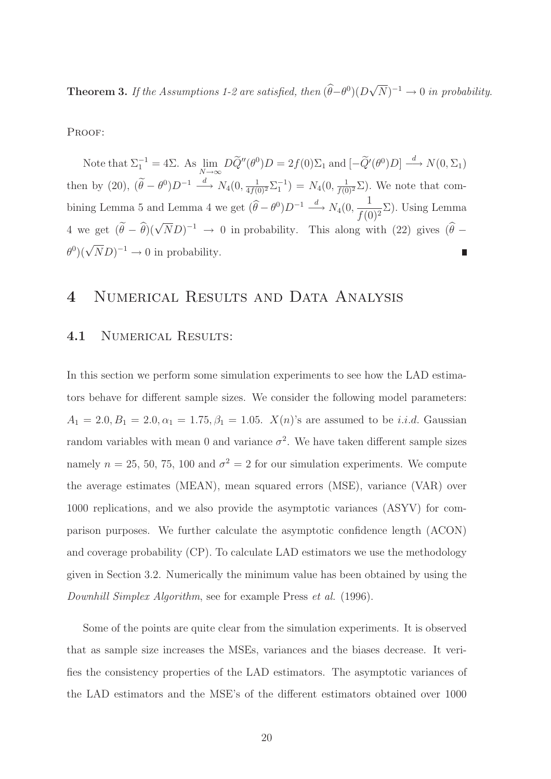**Theorem 3.** If the Assumptions 1-2 are satisfied, then  $(\widehat{\theta} - \theta^0)(D\sqrt{N})^{-1} \to 0$  in probability.

PROOF:

Note that  $\Sigma_1^{-1} = 4\Sigma$ . As  $\lim_{N \to \infty} D\widetilde{Q}''(\theta^0)D = 2f(0)\Sigma_1$  and  $[-\widetilde{Q}'(\theta^0)D] \stackrel{d}{\longrightarrow} N(0,\Sigma_1)$ then by (20),  $(\tilde{\theta} - \theta^0)D^{-1} \stackrel{d}{\longrightarrow} N_4(0, \frac{1}{4f(0)^2} \Sigma_1^{-1}) = N_4(0, \frac{1}{f(0)^2} \Sigma)$ . We note that combining Lemma 5 and Lemma 4 we get  $(\widehat{\theta} - \theta^0)D^{-1} \stackrel{d}{\longrightarrow} N_4(0, \frac{1}{f(0)})$  $\frac{1}{f(0)^2}\Sigma$ ). Using Lemma 4 we get  $(\tilde{\theta} - \hat{\theta})(\sqrt{N}D)^{-1} \rightarrow 0$  in probability. This along with (22) gives  $(\hat{\theta} - \hat{\theta})(\sqrt{N}D)^{-1}$  $\theta^0$ )( $\sqrt{N}D$ )<sup>-1</sup> → 0 in probability. 

### 4 NUMERICAL RESULTS AND DATA ANALYSIS

#### 4.1 NUMERICAL RESULTS:

In this section we perform some simulation experiments to see how the LAD estimators behave for different sample sizes. We consider the following model parameters:  $A_1 = 2.0, B_1 = 2.0, \alpha_1 = 1.75, \beta_1 = 1.05$ .  $X(n)$ 's are assumed to be *i.i.d.* Gaussian random variables with mean 0 and variance  $\sigma^2$ . We have taken different sample sizes namely  $n = 25, 50, 75, 100$  and  $\sigma^2 = 2$  for our simulation experiments. We compute the average estimates (MEAN), mean squared errors (MSE), variance (VAR) over 1000 replications, and we also provide the asymptotic variances (ASYV) for comparison purposes. We further calculate the asymptotic confidence length (ACON) and coverage probability (CP). To calculate LAD estimators we use the methodology given in Section 3.2. Numerically the minimum value has been obtained by using the Downhill Simplex Algorithm, see for example Press et al. (1996).

Some of the points are quite clear from the simulation experiments. It is observed that as sample size increases the MSEs, variances and the biases decrease. It verifies the consistency properties of the LAD estimators. The asymptotic variances of the LAD estimators and the MSE's of the different estimators obtained over 1000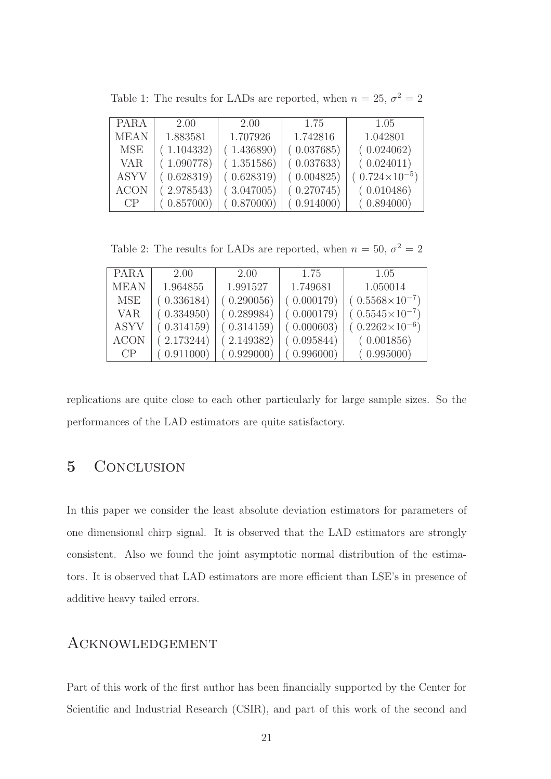| <b>PARA</b> | 2.00       | 2.00       | 1.75       | 1.05                   |
|-------------|------------|------------|------------|------------------------|
| <b>MEAN</b> | 1.883581   | 1.707926   | 1.742816   | 1.042801               |
| <b>MSE</b>  | (1.104332) | (1.436890) | (0.037685) | (0.024062)             |
| <b>VAR</b>  | (1.090778) | (1.351586) | (0.037633) | (0.024011)             |
| <b>ASYV</b> | (0.628319) | (0.628319) | (0.004825) | $(0.724\times10^{-5})$ |
| <b>ACON</b> | (2.978543) | (3.047005) | (0.270745) | (0.010486)             |
| CP          | (0.857000) | (0.870000) | (0.914000) | (0.894000)             |

Table 1: The results for LADs are reported, when  $n = 25$ ,  $\sigma^2 = 2$ 

Table 2: The results for LADs are reported, when  $n = 50$ ,  $\sigma^2 = 2$ 

| <b>PARA</b> | 2.00       | 2.00       | 1.75       | 1.05                    |
|-------------|------------|------------|------------|-------------------------|
| <b>MEAN</b> | 1.964855   | 1.991527   | 1.749681   | 1.050014                |
| <b>MSE</b>  | (0.336184) | (0.290056) | (0.000179) | $(0.5568\times10^{-7})$ |
| <b>VAR</b>  | (0.334950) | (0.289984) | (0.000179) | $(0.5545\times10^{-7})$ |
| <b>ASYV</b> | (0.314159) | (0.314159) | (0.000603) | $(0.2262\times10^{-6})$ |
| <b>ACON</b> | (2.173244) | (2.149382) | (0.095844) | (0.001856)              |
| CP          | (0.911000) | (0.929000) | (0.996000) | (0.995000)              |

replications are quite close to each other particularly for large sample sizes. So the performances of the LAD estimators are quite satisfactory.

### 5 CONCLUSION

In this paper we consider the least absolute deviation estimators for parameters of one dimensional chirp signal. It is observed that the LAD estimators are strongly consistent. Also we found the joint asymptotic normal distribution of the estimators. It is observed that LAD estimators are more efficient than LSE's in presence of additive heavy tailed errors.

### Acknowledgement

Part of this work of the first author has been financially supported by the Center for Scientific and Industrial Research (CSIR), and part of this work of the second and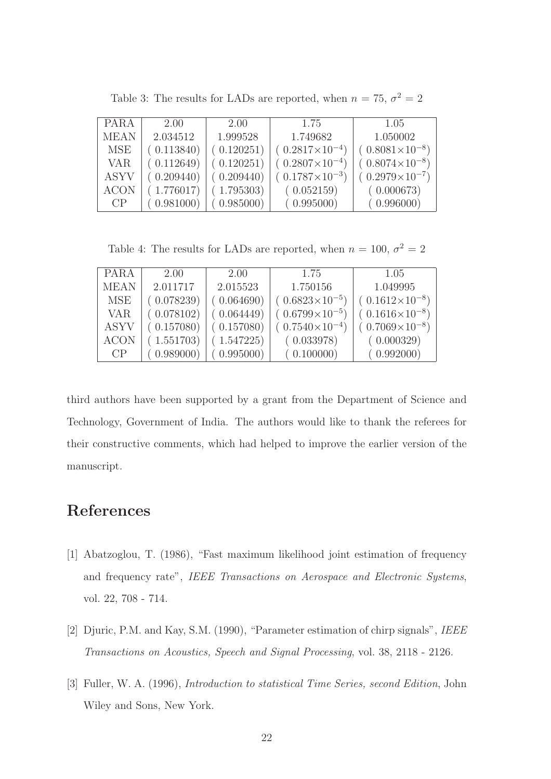| <b>PARA</b> | 2.00       | 2.00       | 1.75                    | 1.05                    |
|-------------|------------|------------|-------------------------|-------------------------|
| <b>MEAN</b> | 2.034512   | 1.999528   | 1.749682                | 1.050002                |
| MSE         | (0.113840) | (0.120251) | $(0.2817\times10^{-4})$ | $(0.8081\times10^{-8})$ |
| <b>VAR</b>  | (0.112649) | (0.120251) | $(0.2807\times10^{-4})$ | $(0.8074\times10^{-8})$ |
| <b>ASYV</b> | (0.209440) | (0.209440) | $(0.1787\times10^{-3})$ | $(0.2979\times10^{-7})$ |
| <b>ACON</b> | (1.776017) | (1.795303) | (0.052159)              | (0.000673)              |
| CP          | (0.981000) | (0.985000) | (0.995000)              | (0.996000)              |

Table 3: The results for LADs are reported, when  $n = 75$ ,  $\sigma^2 = 2$ 

Table 4: The results for LADs are reported, when  $n = 100, \sigma^2 = 2$ 

| <b>PARA</b> | 2.00       | 2.00       | 1.75                    | 1.05                    |
|-------------|------------|------------|-------------------------|-------------------------|
| <b>MEAN</b> | 2.011717   | 2.015523   | 1.750156                | 1.049995                |
| <b>MSE</b>  | (0.078239) | (0.064690) | $(0.6823\times10^{-5})$ | $(0.1612\times10^{-8})$ |
| <b>VAR</b>  | (0.078102) | (0.064449) | $(0.6799\times10^{-5})$ | $(0.1616\times10^{-8})$ |
| <b>ASYV</b> | (0.157080) | (0.157080) | $(0.7540\times10^{-4})$ | $(0.7069\times10^{-8})$ |
| <b>ACON</b> | (1.551703) | (1.547225) | (0.033978)              | (0.000329)              |
| CP          | (0.989000) | (0.995000) | (0.100000)              | (0.992000)              |

third authors have been supported by a grant from the Department of Science and Technology, Government of India. The authors would like to thank the referees for their constructive comments, which had helped to improve the earlier version of the manuscript.

## References

- [1] Abatzoglou, T. (1986), "Fast maximum likelihood joint estimation of frequency and frequency rate", IEEE Transactions on Aerospace and Electronic Systems, vol. 22, 708 - 714.
- [2] Djuric, P.M. and Kay, S.M. (1990), "Parameter estimation of chirp signals", IEEE Transactions on Acoustics, Speech and Signal Processing, vol. 38, 2118 - 2126.
- [3] Fuller, W. A. (1996), Introduction to statistical Time Series, second Edition, John Wiley and Sons, New York.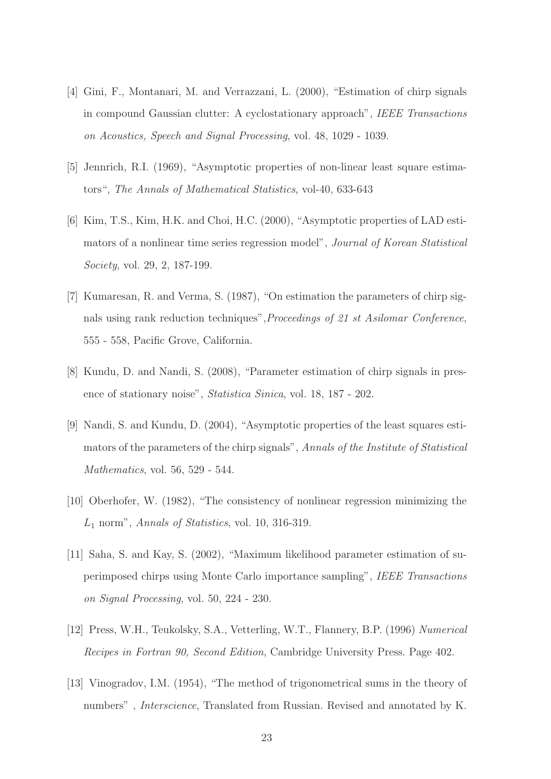- [4] Gini, F., Montanari, M. and Verrazzani, L. (2000), "Estimation of chirp signals in compound Gaussian clutter: A cyclostationary approach", IEEE Transactions on Acoustics, Speech and Signal Processing, vol. 48, 1029 - 1039.
- [5] Jennrich, R.I. (1969), "Asymptotic properties of non-linear least square estimators", The Annals of Mathematical Statistics, vol-40, 633-643
- [6] Kim, T.S., Kim, H.K. and Choi, H.C. (2000), "Asymptotic properties of LAD estimators of a nonlinear time series regression model", Journal of Korean Statistical Society, vol. 29, 2, 187-199.
- [7] Kumaresan, R. and Verma, S. (1987), "On estimation the parameters of chirp signals using rank reduction techniques",Proceedings of 21 st Asilomar Conference, 555 - 558, Pacific Grove, California.
- [8] Kundu, D. and Nandi, S. (2008), "Parameter estimation of chirp signals in presence of stationary noise", Statistica Sinica, vol. 18, 187 - 202.
- [9] Nandi, S. and Kundu, D. (2004), "Asymptotic properties of the least squares estimators of the parameters of the chirp signals", Annals of the Institute of Statistical Mathematics, vol. 56, 529 - 544.
- [10] Oberhofer, W. (1982), "The consistency of nonlinear regression minimizing the  $L_1$  norm", Annals of Statistics, vol. 10, 316-319.
- [11] Saha, S. and Kay, S. (2002), "Maximum likelihood parameter estimation of superimposed chirps using Monte Carlo importance sampling", IEEE Transactions on Signal Processing, vol. 50, 224 - 230.
- [12] Press, W.H., Teukolsky, S.A., Vetterling, W.T., Flannery, B.P. (1996) Numerical Recipes in Fortran 90, Second Edition, Cambridge University Press. Page 402.
- [13] Vinogradov, I.M. (1954), "The method of trigonometrical sums in the theory of numbers" , Interscience, Translated from Russian. Revised and annotated by K.